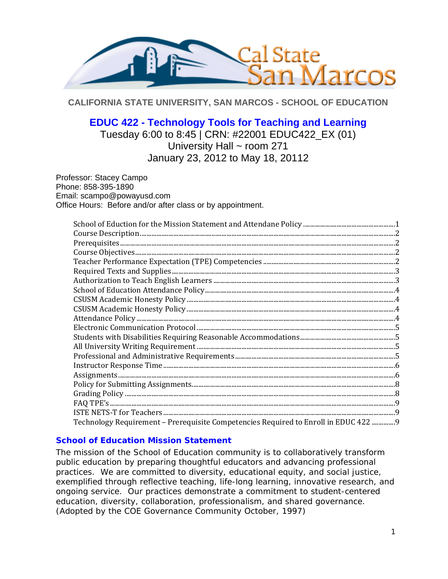

**CALIFORNIA STATE UNIVERSITY, SAN MARCOS - SCHOOL OF EDUCATION** 

# **EDUC 422 - Technology Tools for Teaching and Learning**

Tuesday 6:00 to 8:45 | CRN: #22001 EDUC422\_EX (01) University Hall ~ room 271 January 23, 2012 to May 18, 20112

Professor: Stacey Campo Phone: 858-395-1890 Email: scampo@powayusd.com Office Hours: Before and/or after class or by appointment.

| Technology Requirement – Prerequisite Competencies Required to Enroll in EDUC 422 9 |  |
|-------------------------------------------------------------------------------------|--|

# **School of Education Mission Statement**

The mission of the School of Education community is to collaboratively transform public education by preparing thoughtful educators and advancing professional practices. We are committed to diversity, educational equity, and social justice, exemplified through reflective teaching, life-long learning, innovative research, and ongoing service. Our practices demonstrate a commitment to student-centered education, diversity, collaboration, professionalism, and shared governance. *(Adopted by the COE Governance Community October, 1997)*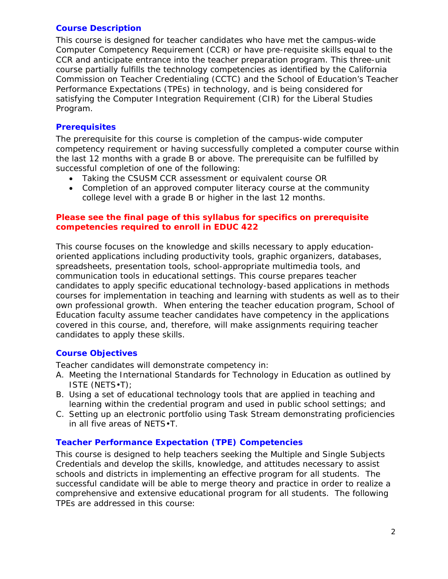## **Course Description**

This course is designed for teacher candidates who have met the campus-wide Computer Competency Requirement (CCR) or have pre-requisite skills equal to the CCR and anticipate entrance into the teacher preparation program. This three-unit course partially fulfills the technology competencies as identified by the California Commission on Teacher Credentialing (CCTC) and the School of Education's Teacher Performance Expectations (TPEs) in technology, and is being considered for satisfying the Computer Integration Requirement (CIR) for the Liberal Studies Program.

# **Prerequisites**

The prerequisite for this course is completion of the campus-wide computer competency requirement or having successfully completed a computer course within the last 12 months with a grade B or above. The prerequisite can be fulfilled by successful completion of one of the following:

- Taking the CSUSM CCR assessment or equivalent course OR
- Completion of an approved computer literacy course at the community college level with a grade B or higher in the last 12 months.

## **Please see the final page of this syllabus for specifics on prerequisite competencies required to enroll in EDUC 422**

This course focuses on the knowledge and skills necessary to apply educationoriented applications including productivity tools, graphic organizers, databases, spreadsheets, presentation tools, school-appropriate multimedia tools, and communication tools in educational settings. This course prepares teacher candidates to apply specific educational technology-based applications in methods courses for implementation in teaching and learning with students as well as to their own professional growth. When entering the teacher education program, School of Education faculty assume teacher candidates have competency in the applications covered in this course, and, therefore, will make assignments requiring teacher candidates to apply these skills.

# **Course Objectives**

Teacher candidates will demonstrate competency in:

- A. Meeting the International Standards for Technology in Education as outlined by ISTE (NETS•T);
- B. Using a set of educational technology tools that are applied in teaching and learning within the credential program and used in public school settings; and
- C. Setting up an electronic portfolio using Task Stream demonstrating proficiencies in all five areas of NETS•T.

# **Teacher Performance Expectation (TPE) Competencies**

 successful candidate will be able to merge theory and practice in order to realize a This course is designed to help teachers seeking the Multiple and Single Subjects Credentials and develop the skills, knowledge, and attitudes necessary to assist schools and districts in implementing an effective program for all students. The comprehensive and extensive educational program for all students. The following TPEs are addressed in this course: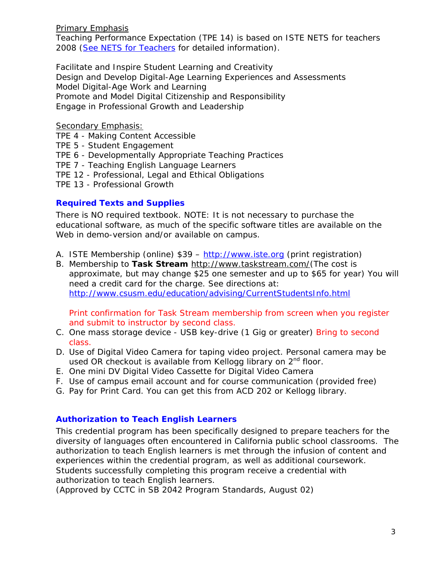### Primary Emphasis

Teaching Performance Expectation (TPE 14) is based on ISTE NETS for teachers 2008 (See NETS for Teachers for detailed information).

*Facilitate and Inspire Student Learning and Creativity Design and Develop Digital-Age Learning Experiences and Assessments Model Digital-Age Work and Learning Promote and Model Digital Citizenship and Responsibility Engage in Professional Growth and Leadership* 

# Secondary Emphasis:

TPE 4 - Making Content Accessible

TPE 5 - Student Engagement

TPE 6 - Developmentally Appropriate Teaching Practices

TPE 7 - Teaching English Language Learners

TPE 12 - Professional, Legal and Ethical Obligations

TPE 13 - Professional Growth

# **Required Texts and Supplies**

There is NO required textbook. NOTE: It is not necessary to purchase the educational software, as much of the specific software titles are available on the Web in demo-version and/or available on campus.

- A. ISTE Membership (online) \$39 http://www.iste.org (print registration)
- B. Membership to **Task Stream** http://www.taskstream.com/(The cost is approximate, but may change \$25 one semester and up to \$65 for year) You will need a credit card for the charge. See directions at: http://www.csusm.edu/education/advising/CurrentStudentsInfo.html

Print confirmation for Task Stream membership from screen when you register and submit to instructor by second class.

- C. One mass storage device USB key-drive (1 Gig or greater) Bring to second class.
- D. Use of Digital Video Camera for taping video project. Personal camera may be used OR checkout is available from Kellogg library on  $2<sup>nd</sup>$  floor.
- E. One mini DV Digital Video Cassette for Digital Video Camera
- F. Use of campus email account and for course communication (provided free)
- G. Pay for Print Card. You can get this from ACD 202 or Kellogg library.

# **Authorization to Teach English Learners**

This credential program has been specifically designed to prepare teachers for the diversity of languages often encountered in California public school classrooms. The authorization to teach English learners is met through the infusion of content and experiences within the credential program, as well as additional coursework. Students successfully completing this program receive a credential with authorization to teach English learners.

*(Approved by CCTC in SB 2042 Program Standards, August 02)*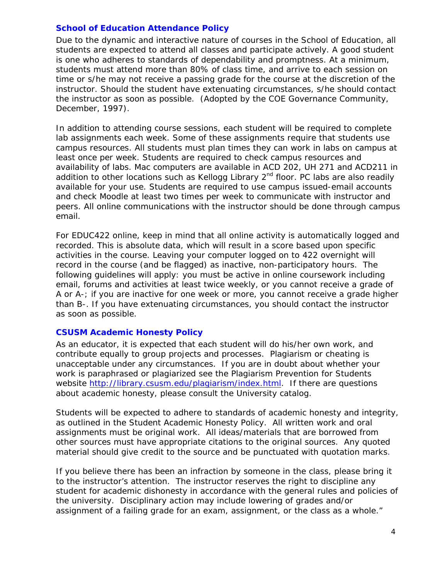### **School of Education Attendance Policy**

Due to the dynamic and interactive nature of courses in the School of Education, all students are expected to attend all classes and participate actively. A good student is one who adheres to standards of dependability and promptness. At a minimum, students must attend more than 80% of class time, and arrive to each session on time or s/he may not receive a passing grade for the course at the discretion of the instructor. Should the student have extenuating circumstances, s/he should contact the instructor as soon as possible. (Adopted by the COE Governance Community, December, 1997).

 peers. All online communications with the instructor should be done through campus In addition to attending course sessions, each student will be required to complete lab assignments each week. Some of these assignments require that students use campus resources. All students must plan times they can work in labs on campus at least once per week. Students are required to check campus resources and availability of labs. Mac computers are available in ACD 202, UH 271 and ACD211 in addition to other locations such as Kellogg Library 2<sup>nd</sup> floor. PC labs are also readily available for your use. Students are required to use campus issued-email accounts and check Moodle at least two times per week to communicate with instructor and email.

 recorded. This is absolute data, which will result in a score based upon specific A or A-; if you are inactive for one week or more, you cannot receive a grade higher For EDUC422 online, keep in mind that all online activity is automatically logged and activities in the course. Leaving your computer logged on to 422 overnight will record in the course (and be flagged) as inactive, non-participatory hours. The following guidelines will apply: you must be active in online coursework including email, forums and activities at least twice weekly, or you cannot receive a grade of than B-. If you have extenuating circumstances, you should contact the instructor as soon as possible.

#### **CSUSM Academic Honesty Policy**

As an educator, it is expected that each student will do his/her own work, and contribute equally to group projects and processes. Plagiarism or cheating is unacceptable under any circumstances. If you are in doubt about whether your work is paraphrased or plagiarized see the Plagiarism Prevention for Students website http://library.csusm.edu/plagiarism/index.html. If there are questions about academic honesty, please consult the University catalog.

Students will be expected to adhere to standards of academic honesty and integrity, as outlined in the Student Academic Honesty Policy. All written work and oral assignments must be original work. All ideas/materials that are borrowed from other sources must have appropriate citations to the original sources. Any quoted material should give credit to the source and be punctuated with quotation marks.

 If you believe there has been an infraction by someone in the class, please bring it to the instructor's attention. The instructor reserves the right to discipline any student for academic dishonesty in accordance with the general rules and policies of the university. Disciplinary action may include lowering of grades and/or assignment of a failing grade for an exam, assignment, or the class as a whole."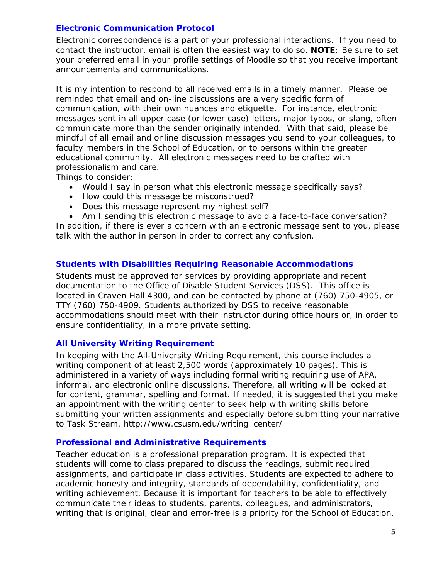### **Electronic Communication Protocol**

Electronic correspondence is a part of your professional interactions. If you need to contact the instructor, email is often the easiest way to do so. **NOTE**: Be sure to set your preferred email in your profile settings of Moodle so that you receive important announcements and communications.

 professionalism and care. It is my intention to respond to all received emails in a timely manner. Please be reminded that email and on-line discussions are a very specific form of communication, with their own nuances and etiquette. For instance, electronic messages sent in all upper case (or lower case) letters, major typos, or slang, often communicate more than the sender originally intended. With that said, please be mindful of all email and online discussion messages you send to your colleagues, to faculty members in the School of Education, or to persons within the greater educational community. All electronic messages need to be crafted with

Things to consider:

- Would I say in person what this electronic message specifically says?
- How could this message be misconstrued?
- Does this message represent my highest self?

 Am I sending this electronic message to avoid a face-to-face conversation? In addition, if there is ever a concern with an electronic message sent to you, please talk with the author in person in order to correct any confusion.

## **Students with Disabilities Requiring Reasonable Accommodations**

Students must be approved for services by providing appropriate and recent documentation to the Office of Disable Student Services (DSS). This office is located in Craven Hall 4300, and can be contacted by phone at (760) 750-4905, or TTY (760) 750-4909. Students authorized by DSS to receive reasonable accommodations should meet with their instructor during office hours or, in order to ensure confidentiality, in a more private setting.

#### **All University Writing Requirement**

In keeping with the All-University Writing Requirement, this course includes a writing component of at least 2,500 words (approximately 10 pages). This is administered in a variety of ways including formal writing requiring use of APA, informal, and electronic online discussions. Therefore, all writing will be looked at for content, grammar, spelling and format. If needed, it is suggested that you make an appointment with the writing center to seek help with writing skills before submitting your written assignments and especially before submitting your narrative to Task Stream. http://www.csusm.edu/writing\_center/

#### **Professional and Administrative Requirements**

 writing that is original, clear and error-free is a priority for the School of Education. Teacher education is a professional preparation program. It is expected that students will come to class prepared to discuss the readings, submit required assignments, and participate in class activities. Students are expected to adhere to academic honesty and integrity, standards of dependability, confidentiality, and writing achievement. Because it is important for teachers to be able to effectively communicate their ideas to students, parents, colleagues, and administrators,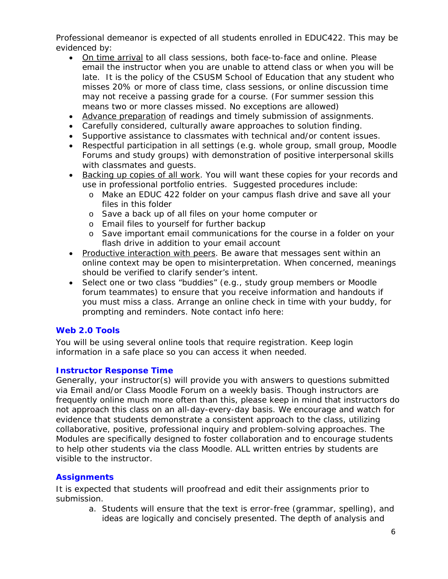Professional demeanor is expected of all students enrolled in EDUC422. This may be evidenced by:

- On time arrival to all class sessions, both face-to-face and online. Please email the instructor when you are unable to attend class or when you will be late. It is the policy of the CSUSM School of Education that any student who misses 20% or more of class time, class sessions, or online discussion time may not receive a passing grade for a course. (For summer session this means two or more classes missed. No exceptions are allowed)
- Advance preparation of readings and timely submission of assignments.
- Carefully considered, culturally aware approaches to solution finding.
- Supportive assistance to classmates with technical and/or content issues.
- Respectful participation in all settings (e.g. whole group, small group, Moodle Forums and study groups) with demonstration of positive interpersonal skills with classmates and guests.
- Backing up copies of all work. You will want these copies for your records and use in professional portfolio entries. Suggested procedures include:
	- o Make an EDUC 422 folder on your campus flash drive and save all your files in this folder
	- o Save a back up of all files on your home computer or
	- o Email files to yourself for further backup
	- o Save important email communications for the course in a folder on your flash drive in addition to your email account
- Productive interaction with peers. Be aware that messages sent within an online context may be open to misinterpretation. When concerned, meanings should be verified to clarify sender's intent.
- forum teammates) to ensure that you receive information and handouts if • Select one or two class "buddies" (e.g., study group members or Moodle you must miss a class. Arrange an online check in time with your buddy, for prompting and reminders. Note contact info here:

# **Web 2.0 Tools**

You will be using several online tools that require registration. Keep login information in a safe place so you can access it when needed.

# **Instructor Response Time**

Generally, your instructor(s) will provide you with answers to questions submitted via Email and/or Class Moodle Forum on a weekly basis. Though instructors are frequently online much more often than this, please keep in mind that instructors do not approach this class on an all-day-every-day basis. We encourage and watch for evidence that students demonstrate a consistent approach to the class, utilizing collaborative, positive, professional inquiry and problem-solving approaches. The Modules are specifically designed to foster collaboration and to encourage students to help other students via the class Moodle. ALL written entries by students are visible to the instructor.

# **Assignments**

It is expected that students will proofread and edit their assignments prior to submission.

a. Students will ensure that the text is error-free (grammar, spelling), and ideas are logically and concisely presented. The depth of analysis and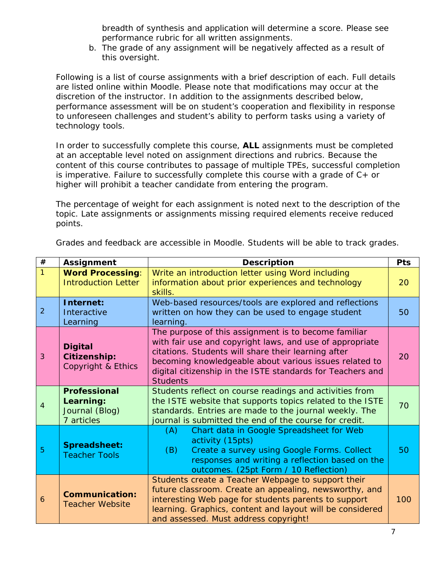breadth of synthesis and application will determine a score. Please see performance rubric for all written assignments.

b. The grade of any assignment will be negatively affected as a result of this oversight.

Following is a list of course assignments with a brief description of each. Full details are listed online within Moodle. Please note that modifications may occur at the discretion of the instructor. In addition to the assignments described below, performance assessment will be on student's cooperation and flexibility in response to unforeseen challenges and student's ability to perform tasks using a variety of technology tools.

In order to successfully complete this course, **ALL** assignments must be completed at an acceptable level noted on assignment directions and rubrics. Because the content of this course contributes to passage of multiple TPEs, successful completion is imperative. Failure to successfully complete this course with a grade of  $C+$  or higher will prohibit a teacher candidate from entering the program.

The percentage of weight for each assignment is noted next to the description of the topic. Late assignments or assignments missing required elements receive reduced points.

| $\#$           | <b>Assignment</b>                                                | <b>Description</b>                                                                                                                                                                                                                                                                                                 |     |
|----------------|------------------------------------------------------------------|--------------------------------------------------------------------------------------------------------------------------------------------------------------------------------------------------------------------------------------------------------------------------------------------------------------------|-----|
| $\mathbf{1}$   | <b>Word Processing:</b><br><b>Introduction Letter</b>            | Write an introduction letter using Word including<br>information about prior experiences and technology<br>skills.                                                                                                                                                                                                 | 20  |
| $\overline{2}$ | Internet:<br>Interactive<br>Learning                             | Web-based resources/tools are explored and reflections<br>written on how they can be used to engage student<br>learning.                                                                                                                                                                                           |     |
| 3              | <b>Digital</b><br><b>Citizenship:</b><br>Copyright & Ethics      | The purpose of this assignment is to become familiar<br>with fair use and copyright laws, and use of appropriate<br>citations. Students will share their learning after<br>becoming knowledgeable about various issues related to<br>digital citizenship in the ISTE standards for Teachers and<br><b>Students</b> |     |
| 4              | <b>Professional</b><br>Learning:<br>Journal (Blog)<br>7 articles | Students reflect on course readings and activities from<br>the ISTE website that supports topics related to the ISTE<br>standards. Entries are made to the journal weekly. The<br>journal is submitted the end of the course for credit.                                                                           |     |
| 5              | Spreadsheet:<br><b>Teacher Tools</b>                             | Chart data in Google Spreadsheet for Web<br>(A)<br>activity (15pts)<br>(B)<br>Create a survey using Google Forms. Collect<br>responses and writing a reflection based on the<br>outcomes. (25pt Form / 10 Reflection)                                                                                              | 50  |
| 6              | <b>Communication:</b><br><b>Teacher Website</b>                  | Students create a Teacher Webpage to support their<br>future classroom. Create an appealing, newsworthy, and<br>interesting Web page for students parents to support<br>learning. Graphics, content and layout will be considered<br>and assessed. Must address copyright!                                         | 100 |

Grades and feedback are accessible in Moodle. Students will be able to track grades.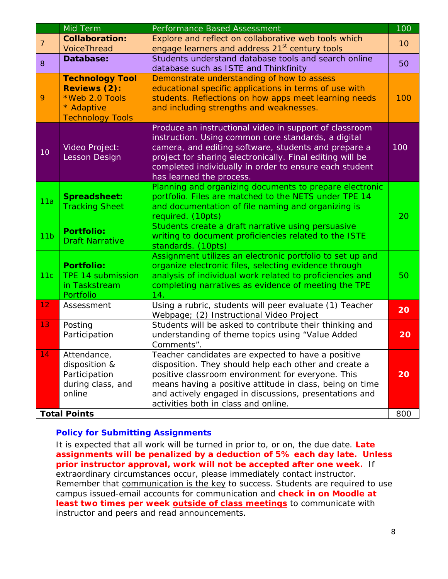|                 | Mid Term                                                                                                 | Performance Based Assessment                                                                                                                                                                                                                                                                                                   | 100 |
|-----------------|----------------------------------------------------------------------------------------------------------|--------------------------------------------------------------------------------------------------------------------------------------------------------------------------------------------------------------------------------------------------------------------------------------------------------------------------------|-----|
| $\overline{7}$  | <b>Collaboration:</b><br><b>VoiceThread</b>                                                              | Explore and reflect on collaborative web tools which<br>engage learners and address 21 <sup>st</sup> century tools                                                                                                                                                                                                             | 10  |
| 8               | Database:                                                                                                | Students understand database tools and search online<br>database such as ISTE and Thinkfinity                                                                                                                                                                                                                                  |     |
| 9               | <b>Technology Tool</b><br><b>Reviews (2):</b><br>*Web 2.0 Tools<br>* Adaptive<br><b>Technology Tools</b> | Demonstrate understanding of how to assess<br>educational specific applications in terms of use with<br>students. Reflections on how apps meet learning needs<br>and including strengths and weaknesses.                                                                                                                       | 100 |
| 10              | Video Project:<br><b>Lesson Design</b>                                                                   | Produce an instructional video in support of classroom<br>instruction. Using common core standards, a digital<br>camera, and editing software, students and prepare a<br>project for sharing electronically. Final editing will be<br>completed individually in order to ensure each student<br>has learned the process.       | 100 |
| 11a             | <b>Spreadsheet:</b><br><b>Tracking Sheet</b>                                                             | Planning and organizing documents to prepare electronic<br>portfolio. Files are matched to the NETS under TPE 14<br>and documentation of file naming and organizing is<br>required. (10pts)                                                                                                                                    | 20  |
| 11 <sub>b</sub> | <b>Portfolio:</b><br><b>Draft Narrative</b>                                                              | Students create a draft narrative using persuasive<br>writing to document proficiencies related to the ISTE<br>standards. (10pts)                                                                                                                                                                                              |     |
| 11c             | <b>Portfolio:</b><br><b>TPE 14 submission</b><br>in Taskstream<br>Portfolio                              | Assignment utilizes an electronic portfolio to set up and<br>organize electronic files, selecting evidence through<br>analysis of individual work related to proficiencies and<br>completing narratives as evidence of meeting the TPE<br>14.                                                                                  | 50  |
| 12 <sub>1</sub> | Assessment                                                                                               | Using a rubric, students will peer evaluate (1) Teacher<br>Webpage; (2) Instructional Video Project                                                                                                                                                                                                                            | 20  |
| 13              | Posting<br>Participation                                                                                 | Students will be asked to contribute their thinking and<br>understanding of theme topics using "Value Added<br>Comments".                                                                                                                                                                                                      | 20  |
| 14              | Attendance,<br>disposition &<br>Participation<br>during class, and<br>online                             | Teacher candidates are expected to have a positive<br>disposition. They should help each other and create a<br>positive classroom environment for everyone. This<br>means having a positive attitude in class, being on time<br>and actively engaged in discussions, presentations and<br>activities both in class and online. | 20  |
|                 | <b>Total Points</b>                                                                                      |                                                                                                                                                                                                                                                                                                                                | 800 |

# **Policy for Submitting Assignments**

It is expected that all work will be turned in prior to, or on, the due date. **Late assignments will be penalized by a deduction of 5% each day late. Unless prior instructor approval, work will not be accepted after one week.** If extraordinary circumstances occur, please immediately contact instructor. Remember that communication is the key to success. Students are required to use campus issued-email accounts for communication and **check in on Moodle at least two times per week outside of class meetings** to communicate with instructor and peers and read announcements.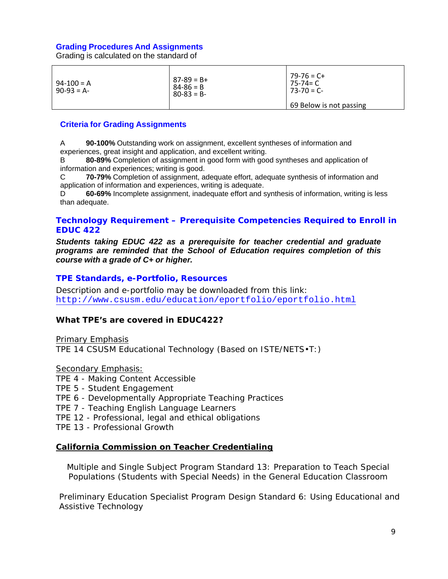#### **Grading Procedures And Assignments**

Grading is calculated on the standard of

| $94 - 100 = A$<br>$90-93 = A$ | $87-89 = B+$<br>$84 - 86 = B$<br>$80-83 = B -$ | $79 - 76 = C +$<br>75-74= C<br>$73 - 70 = C$ |
|-------------------------------|------------------------------------------------|----------------------------------------------|
|                               |                                                | 69 Below is not passing                      |

#### **Criteria for Grading Assignments**

A **90-100%** Outstanding work on assignment, excellent syntheses of information and experiences, great insight and application, and excellent writing.

 information and experiences; writing is good. B **80-89%** Completion of assignment in good form with good syntheses and application of

C **70-79%** Completion of assignment, adequate effort, adequate synthesis of information and application of information and experiences, writing is adequate.

D **60-69%** Incomplete assignment, inadequate effort and synthesis of information, writing is less than adequate.

#### **Technology Requirement – Prerequisite Competencies Required to Enroll in EDUC 422**

*Students taking EDUC 422 as a prerequisite for teacher credential and graduate programs are reminded that the School of Education requires completion of this course with a grade of C+ or higher.* 

#### **TPE Standards, e-Portfolio, Resources**

Description and e-portfolio may be downloaded from this link: http://www.csusm.edu/education/eportfolio/eportfolio.html

#### **What TPE's are covered in EDUC422?**

Primary Emphasis

TPE 14 CSUSM Educational Technology (Based on ISTE/NETS•T:)

Secondary Emphasis:

- TPE 4 Making Content Accessible
- TPE 5 Student Engagement
- TPE 6 Developmentally Appropriate Teaching Practices
- TPE 7 Teaching English Language Learners
- TPE 12 Professional, legal and ethical obligations

TPE 13 - Professional Growth

#### **California Commission on Teacher Credentialing**

 Populations (Students with Special Needs) in the General Education Classroom Multiple and Single Subject Program Standard 13: Preparation to Teach Special

Assistive Technology Preliminary Education Specialist Program Design Standard 6: Using Educational and Assistive Technology<br>
9<br>
9